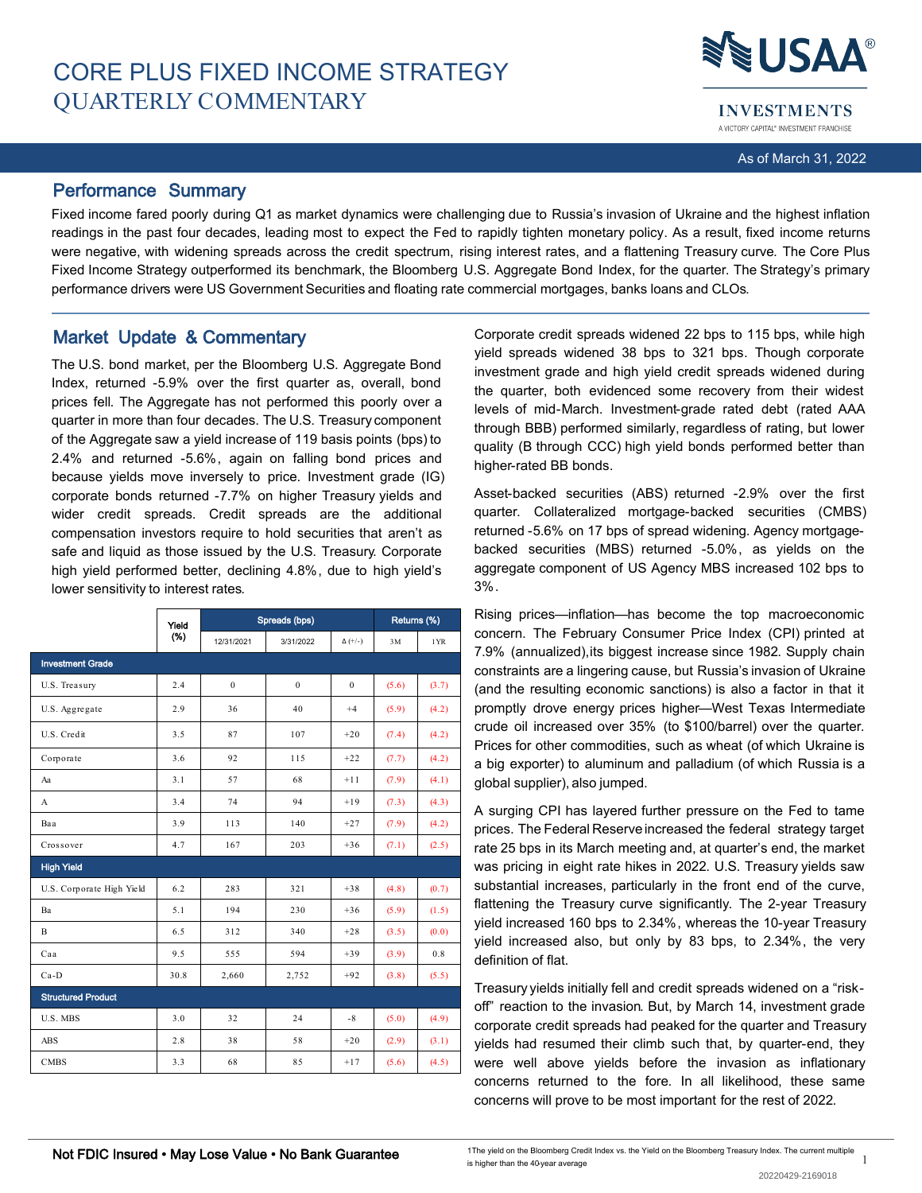

**INVESTMENTS** A VICTORY CAPITAL® INVESTMENT FRANCHISE

As of March 31, 2022

## Performance Summary

Fixed income fared poorly during Q1 as market dynamics were challenging due to Russia's invasion of Ukraine and the highest inflation readings in the past four decades, leading most to expect the Fed to rapidly tighten monetary policy. As a result, fixed income returns were negative, with widening spreads across the credit spectrum, rising interest rates, and a flattening Treasury curve. The Core Plus Fixed Income Strategy outperformed its benchmark, the Bloomberg U.S. Aggregate Bond Index, for the quarter. The Strategy's primary performance drivers were US Government Securities and floating rate commercial mortgages, banks loans and CLOs.

# Market Update & Commentary

The U.S. bond market, per the Bloomberg U.S. Aggregate Bond Index, returned -5.9% over the first quarter as, overall, bond prices fell. The Aggregate has not performed this poorly over a quarter in more than four decades. The U.S. Treasury component of the Aggregate saw a yield increase of 119 basis points (bps) to 2.4% and returned -5.6%, again on falling bond prices and because yields move inversely to price. Investment grade (IG) corporate bonds returned -7.7% on higher Treasury yields and wider credit spreads. Credit spreads are the additional compensation investors require to hold securities that aren't as safe and liquid as those issued by the U.S. Treasury. Corporate high yield performed better, declining 4.8%, due to high yield's lower sensitivity to interest rates.

|                           | Yield<br>(%) | Spreads (bps) | Returns (%)                  |                |       |       |
|---------------------------|--------------|---------------|------------------------------|----------------|-------|-------|
|                           |              | 12/31/2021    | 3/31/2022                    | $\Delta (+/-)$ | 3M    | 1YR   |
| <b>Investment Grade</b>   |              |               |                              |                |       |       |
| U.S. Treasury             | 2.4          | $\mathbf{0}$  | $\mathbf{0}$<br>$\mathbf{0}$ |                | (5.6) | (3.7) |
| U.S. Aggregate            | 2.9          | 36            | 40                           | $+4$           | (5.9) | (4.2) |
| U.S. Credit               | 3.5          | 87            | 107                          | $+20$          | (7.4) | (4.2) |
| Corporate                 | 3.6          | 92            | 115                          | $+22$          | (7.7) | (4.2) |
| Aa                        | 3.1          | 57            | 68                           | $+11$          | (7.9) | (4.1) |
| A                         | 3.4          | 74            | 94                           | $+19$          | (7.3) | (4.3) |
| Baa                       | 3.9          | 113           | 140                          | $+27$          | (7.9) | (4.2) |
| Crossover                 | 4.7          | 167           | 203                          | $+36$          | (7.1) | (2.5) |
| <b>High Yield</b>         |              |               |                              |                |       |       |
| U.S. Corporate High Yield | 6.2          | 283           | 321                          | $+38$          | (4.8) | (0.7) |
| Ba                        | 5.1          | 194           | 230                          | $+36$          | (5.9) | (1.5) |
| B                         | 6.5          | 312           | 340                          | $+28$          | (3.5) | (0.0) |
| Caa                       | 9.5          | 555           | 594                          | $+39$          | (3.9) | 0.8   |
| $Ca-D$                    | 30.8         | 2,660         | 2,752                        | $+92$          | (3.8) | (5.5) |
| <b>Structured Product</b> |              |               |                              |                |       |       |
| U.S. MBS                  | 3.0          | 32            | 24                           | $-8$           | (5.0) | (4.9) |
| <b>ABS</b>                | 2.8          | 38            | 58                           | $+20$          | (2.9) | (3.1) |
| <b>CMBS</b>               | 3.3          | 68            | 85                           | $+17$          | (5.6) | (4.5) |

Corporate credit spreads widened 22 bps to 115 bps, while high yield spreads widened 38 bps to 321 bps. Though corporate investment grade and high yield credit spreads widened during the quarter, both evidenced some recovery from their widest levels of mid-March. Investment-grade rated debt (rated AAA through BBB) performed similarly, regardless of rating, but lower quality (B through CCC) high yield bonds performed better than higher-rated BB bonds.

Asset-backed securities (ABS) returned -2.9% over the first quarter. Collateralized mortgage-backed securities (CMBS) returned -5.6% on 17 bps of spread widening. Agency mortgagebacked securities (MBS) returned -5.0%, as yields on the aggregate component of US Agency MBS increased 102 bps to 3%.

Rising prices—inflation—has become the top macroeconomic concern. The February Consumer Price Index (CPI) printed at 7.9% (annualized),its biggest increase since 1982. Supply chain constraints are a lingering cause, but Russia's invasion of Ukraine (and the resulting economic sanctions) is also a factor in that it promptly drove energy prices higher—West Texas Intermediate crude oil increased over 35% (to \$100/barrel) over the quarter. Prices for other commodities, such as wheat (of which Ukraine is a big exporter) to aluminum and palladium (of which Russia is a global supplier), also jumped.

A surging CPI has layered further pressure on the Fed to tame prices. The Federal Reserveincreased the federal strategy target rate 25 bps in its March meeting and, at quarter's end, the market was pricing in eight rate hikes in 2022. U.S. Treasury yields saw substantial increases, particularly in the front end of the curve, flattening the Treasury curve significantly. The 2-year Treasury yield increased 160 bps to 2.34%, whereas the 10-year Treasury yield increased also, but only by 83 bps, to 2.34%, the very definition of flat.

Treasury yields initially fell and credit spreads widened on a "riskoff" reaction to the invasion. But, by March 14, investment grade corporate credit spreads had peaked for the quarter and Treasury yields had resumed their climb such that, by quarter-end, they were well above yields before the invasion as inflationary concerns returned to the fore. In all likelihood, these same concerns will prove to be most important for the rest of 2022.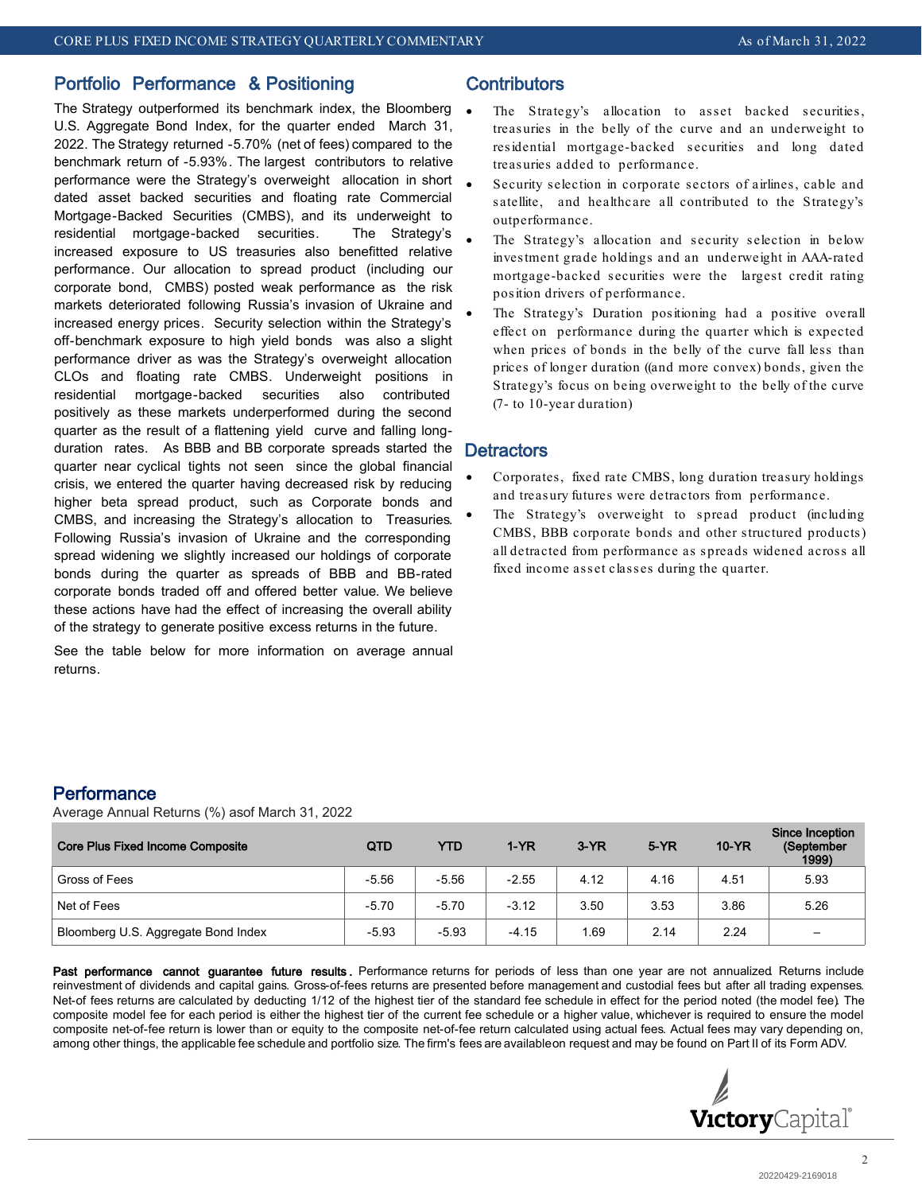## Portfolio Performance & Positioning

The Strategy outperformed its benchmark index, the Bloomberg U.S. Aggregate Bond Index, for the quarter ended March 31, 2022. The Strategy returned -5.70% (net of fees) compared to the benchmark return of -5.93%. The largest contributors to relative performance were the Strategy's overweight allocation in short dated asset backed securities and floating rate Commercial Mortgage-Backed Securities (CMBS), and its underweight to residential mortgage-backed securities. The Strategy's increased exposure to US treasuries also benefitted relative performance. Our allocation to spread product (including our corporate bond, CMBS) posted weak performance as the risk markets deteriorated following Russia's invasion of Ukraine and increased energy prices. Security selection within the Strategy's off-benchmark exposure to high yield bonds was also a slight performance driver as was the Strategy's overweight allocation CLOs and floating rate CMBS. Underweight positions in residential mortgage-backed securities also contributed positively as these markets underperformed during the second quarter as the result of a flattening yield curve and falling longduration rates. As BBB and BB corporate spreads started the quarter near cyclical tights not seen since the global financial crisis, we entered the quarter having decreased risk by reducing higher beta spread product, such as Corporate bonds and CMBS, and increasing the Strategy's allocation to Treasuries. Following Russia's invasion of Ukraine and the corresponding spread widening we slightly increased our holdings of corporate bonds during the quarter as spreads of BBB and BB-rated corporate bonds traded off and offered better value. We believe these actions have had the effect of increasing the overall ability of the strategy to generate positive excess returns in the future.

See the table below for more information on average annual returns.

# **Contributors**

- The Strategy's allocation to asset backed securities, treasuries in the belly of the curve and an underweight to residential mortgage-backed securities and long dated treasuries added to performance.
- Security selection in corporate sectors of airlines, cable and satellite, and healthcare all contributed to the Strategy's outperformance.
- The Strategy's allocation and security selection in below investment grade holdings and an underweight in AAA-rated mortgage-backed securities were the largest credit rating position drivers of performance.
- The Strategy's Duration positioning had a positive overall effect on performance during the quarter which is expected when prices of bonds in the belly of the curve fall less than prices of longer duration ((and more convex) bonds, given the Strategy's focus on being overweight to the belly of the curve (7- to 10-year duration)

### **Detractors**

- Corporates, fixed rate CMBS, long duration treasury holdings and treasury futures were detractors from performance.
- The Strategy's overweight to spread product (including CMBS, BBB corporate bonds and other structured products) all detracted from performance as spreads widened across all fixed income asset classes during the quarter.

## **Performance**

Average Annual Returns (%) asof March 31, 2022

| <b>Core Plus Fixed Income Composite</b> | QTD     | YTD     | $1-YR$  | $3-YR$ | $5-YR$ | $10-YR$ | Since Inception<br>(September<br>1999) |
|-----------------------------------------|---------|---------|---------|--------|--------|---------|----------------------------------------|
| Gross of Fees                           | $-5.56$ | $-5.56$ | $-2.55$ | 4.12   | 4.16   | 4.51    | 5.93                                   |
| Net of Fees                             | $-5.70$ | $-5.70$ | $-3.12$ | 3.50   | 3.53   | 3.86    | 5.26                                   |
| Bloomberg U.S. Aggregate Bond Index     | $-5.93$ | $-5.93$ | $-4.15$ | l.69   | 2.14   | 2.24    |                                        |

Past performance cannot guarantee future results. Performance returns for periods of less than one year are not annualized Returns include reinvestment of dividends and capital gains. Gross-of-fees returns are presented before management and custodial fees but after all trading expenses. Net-of fees returns are calculated by deducting 1/12 of the highest tier of the standard fee schedule in effect for the period noted (the model fee). The composite model fee for each period is either the highest tier of the current fee schedule or a higher value, whichever is required to ensure the model composite net-of-fee return is lower than or equity to the composite net-of-fee return calculated using actual fees. Actual fees may vary depending on, among other things, the applicable fee schedule and portfolio size. The firm's fees are availableon request and may be found on Part II of its Form ADV.